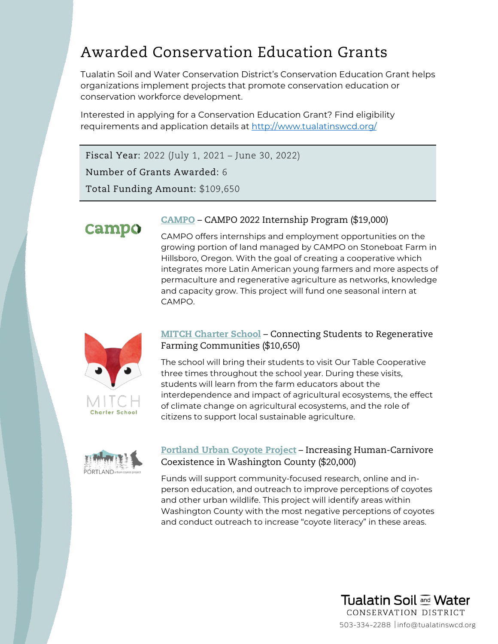# Awarded Conservation Education Grants

Tualatin Soil and Water Conservation District's Conservation Education Grant helps organizations implement projects that promote conservation education or conservation workforce development.

Interested in applying for a Conservation Education Grant? Find eligibility requirements and application details at <http://www.tualatinswcd.org/>

Fiscal Year: 2022 (July 1, 2021 – June 30, 2022)

Number of Grants Awarded: 6

Total Funding Amount: \$109,650



#### [CAMPO](https://www.campopdx.org/) – CAMPO 2022 Internship Program (\$19,000)

CAMPO offers internships and employment opportunities on the growing portion of land managed by CAMPO on Stoneboat Farm in Hillsboro, Oregon. With the goal of creating a cooperative which integrates more Latin American young farmers and more aspects of permaculture and regenerative agriculture as networks, knowledge and capacity grow. This project will fund one seasonal intern at CAMPO.



#### **[MITCH Charter School](http://mcs.k12.or.us/) – Connecting Students to Regenerative** Farming Communities (\$10,650)

The school will bring their students to visit Our Table Cooperative three times throughout the school year. During these visits, students will learn from the farm educators about the interdependence and impact of agricultural ecosystems, the effect of climate change on agricultural ecosystems, and the role of citizens to support local sustainable agriculture.



# [Portland Urban Coyote Project](https://www.portlandcoyote.com/) – Increasing Human-Carnivore Coexistence in Washington County (\$20,000)

Funds will support community-focused research, online and inperson education, and outreach to improve perceptions of coyotes and other urban wildlife. This project will identify areas within Washington County with the most negative perceptions of coyotes and conduct outreach to increase "coyote literacy" in these areas.

503-334-2288 info@tualatinswcd.org

**Tualatin Soil and Water** CONSERVATION DISTRICT